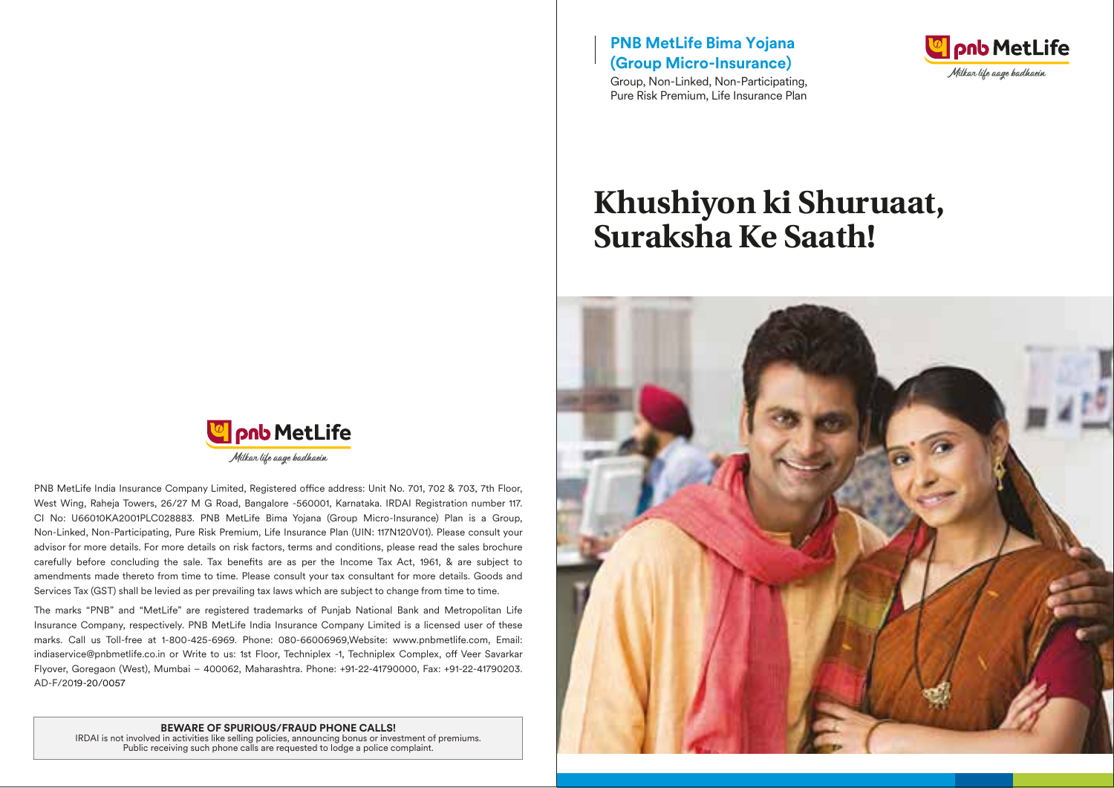**Land MetLife** Milkar life aage badhaein

PNB MetLife India Insurance Company Limited, Registered office address: Unit No. 701, 702 & 703, 7th Floor, West Wing, Raheja Towers, 26/27 M G Road, Bangalore -560001, Karnataka. IRDAI Registration number 117. CI No: U66010KA2001PLC028883. PNB MetLife Bima Yojana (Group Micro-Insurance) Plan is a Group, Non-Linked, Non-Participating, Pure Risk Premium, Life Insurance Plan (UIN: 117N120V01). Please consult your advisor for more details. For more details on risk factors, terms and conditions, please read the sales brochure carefully before concluding the sale. Tax benefits are as per the Income Tax Act, 1961, & are subject to amendments made thereto from time to time. Please consult your tax consultant for more details. Goods and Services Tax (GST) shall be levied as per prevailing tax laws which are subject to change from time to time.

The marks "PNB" and "MetLife" are registered trademarks of Punjab National Bank and Metropolitan Life Insurance Company, respectively. PNB MetLife India Insurance Company Limited is a licensed user of these marks. Call us Toll-free at 1-800-425-6969. Phone: 080-66006969,Website: www.pnbmetlife.com, Email: indiaservice@pnbmetlife.co.in or Write to us: 1st Floor, Techniplex -1, Techniplex Complex, off Veer Savarkar Flyover, Goregaon (West), Mumbai – 400062, Maharashtra. Phone: +91-22-41790000, Fax: +91-22-41790203. AD-F/2019-20/0057

#### **BEWARE OF SPURIOUS/FRAUD PHONE CALLS!**

IRDAI is not involved in activities like selling policies, announcing bonus or investment of premiums. Public receiving such phone calls are requested to lodge a police complaint.

**PNB MetLife Bima Yojana (Group Micro-Insurance)**

Group, Non-Linked, Non-Participating, Pure Risk Premium, Life Insurance Plan



# **Khushiyon ki Shuruaat, Suraksha Ke Saath!**

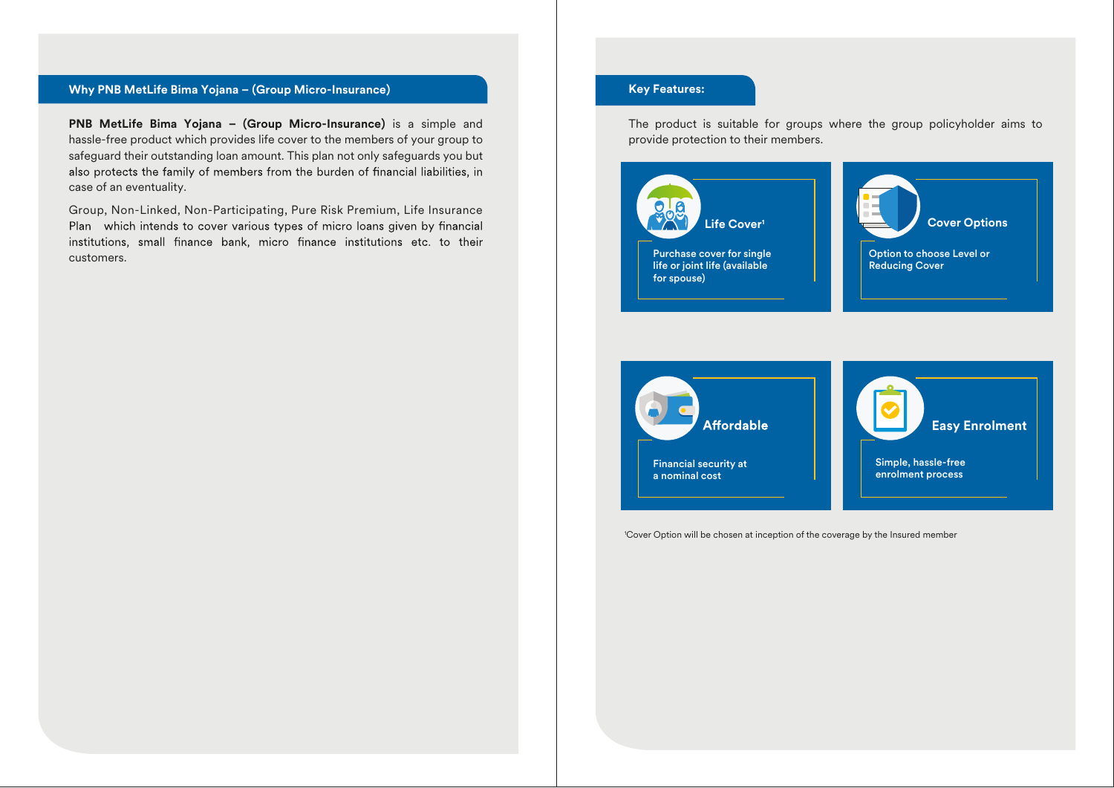# **Why PNB MetLife Bima Yojana – (Group Micro-Insurance) Key Features: Key Features: Key Features: Key Features:**

**PNB MetLife Bima Yojana – (Group Micro-Insurance)** is a simple and hassle-free product which provides life cover to the members of your group to safeguard their outstanding loan amount. This plan not only safeguards you but also protects the family of members from the burden of financial liabilities, in case of an eventuality.

Group, Non-Linked, Non-Participating, Pure Risk Premium, Life Insurance Plan which intends to cover various types of micro loans given by financial institutions, small finance bank, micro finance institutions etc. to their customers.

The product is suitable for groups where the group policyholder aims to provide protection to their members.





1 Cover Option will be chosen at inception of the coverage by the Insured member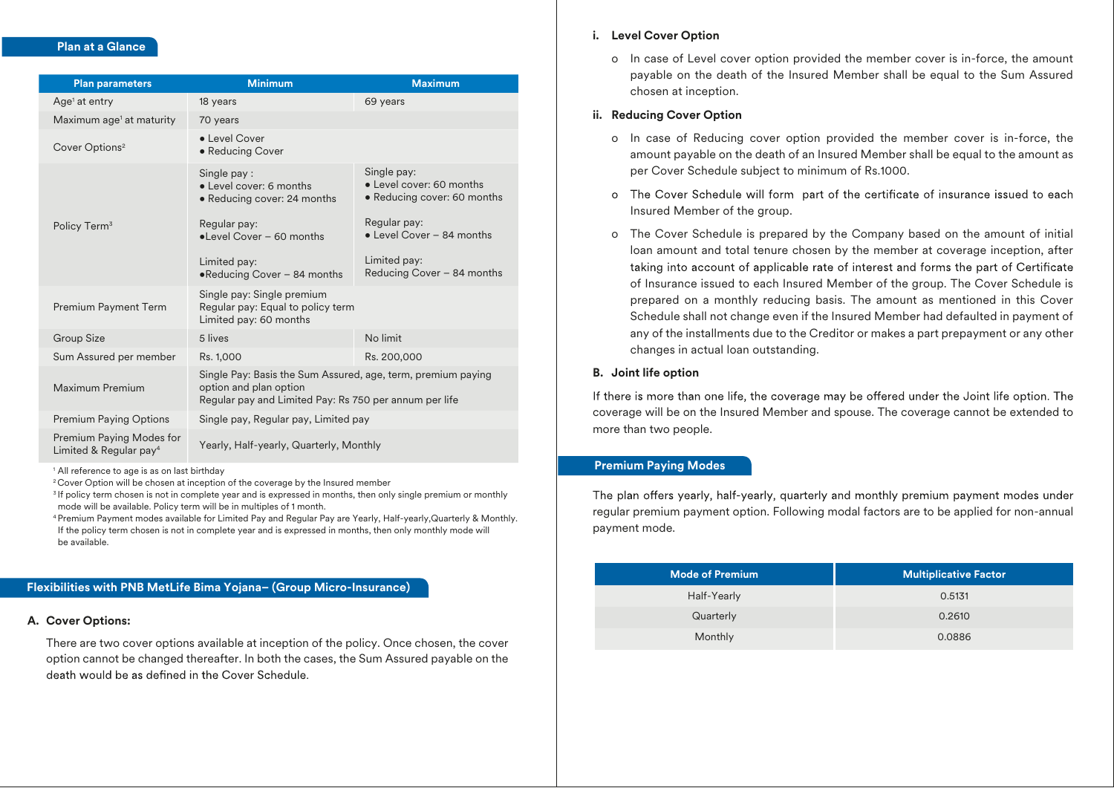#### **Plan at a Glance**

| <b>Plan parameters</b>                                         | <b>Minimum</b>                                                                                                                                                            | <b>Maximum</b>                                                                                                                                                    |
|----------------------------------------------------------------|---------------------------------------------------------------------------------------------------------------------------------------------------------------------------|-------------------------------------------------------------------------------------------------------------------------------------------------------------------|
| Age <sup>1</sup> at entry                                      | 18 years                                                                                                                                                                  | 69 years                                                                                                                                                          |
| Maximum age <sup>1</sup> at maturity                           | 70 years                                                                                                                                                                  |                                                                                                                                                                   |
| Cover Options <sup>2</sup>                                     | • Level Cover<br>• Reducing Cover                                                                                                                                         |                                                                                                                                                                   |
| Policy Term <sup>3</sup>                                       | Single pay:<br>• Level cover: 6 months<br>• Reducing cover: 24 months<br>Regular pay:<br>$\bullet$ Level Cover - 60 months<br>Limited pay:<br>•Reducing Cover - 84 months | Single pay:<br>• Level cover: 60 months<br>• Reducing cover: 60 months<br>Regular pay:<br>• Level Cover - 84 months<br>Limited pay:<br>Reducing Cover - 84 months |
| Premium Payment Term                                           | Single pay: Single premium<br>Regular pay: Equal to policy term<br>Limited pay: 60 months                                                                                 |                                                                                                                                                                   |
| <b>Group Size</b>                                              | 5 lives                                                                                                                                                                   | No limit                                                                                                                                                          |
| Sum Assured per member                                         | Rs. 1,000                                                                                                                                                                 | Rs. 200,000                                                                                                                                                       |
| Maximum Premium                                                | Single Pay: Basis the Sum Assured, age, term, premium paying<br>option and plan option<br>Regular pay and Limited Pay: Rs 750 per annum per life                          |                                                                                                                                                                   |
| <b>Premium Paying Options</b>                                  | Single pay, Regular pay, Limited pay                                                                                                                                      |                                                                                                                                                                   |
| Premium Paying Modes for<br>Limited & Regular pay <sup>4</sup> | Yearly, Half-yearly, Quarterly, Monthly                                                                                                                                   |                                                                                                                                                                   |

<sup>1</sup> All reference to age is as on last birthday

<sup>2</sup> Cover Option will be chosen at inception of the coverage by the Insured member

<sup>3</sup> If policy term chosen is not in complete year and is expressed in months, then only single premium or monthly mode will be available. Policy term will be in multiples of 1 month.

4 Premium Payment modes available for Limited Pay and Regular Pay are Yearly, Half-yearly,Quarterly & Monthly. If the policy term chosen is not in complete year and is expressed in months, then only monthly mode will be available.

#### **Flexibilities with PNB MetLife Bima Yojana– (Group Micro-Insurance)**

# **A. Cover Options:**

There are two cover options available at inception of the policy. Once chosen, the cover option cannot be changed thereafter. In both the cases, the Sum Assured payable on the death would be as defined in the Cover Schedule.

#### **i. Level Cover Option**

o In case of Level cover option provided the member cover is in-force, the amount payable on the death of the Insured Member shall be equal to the Sum Assured chosen at inception.

### **ii. Reducing Cover Option**

- o In case of Reducing cover option provided the member cover is in-force, the amount payable on the death of an Insured Member shall be equal to the amount as per Cover Schedule subject to minimum of Rs.1000.
- o The Cover Schedule will form part of the certificate of insurance issued to each Insured Member of the group.
- o The Cover Schedule is prepared by the Company based on the amount of initial loan amount and total tenure chosen by the member at coverage inception, after taking into account of applicable rate of interest and forms the part of Certificate of Insurance issued to each Insured Member of the group. The Cover Schedule is prepared on a monthly reducing basis. The amount as mentioned in this Cover Schedule shall not change even if the Insured Member had defaulted in payment of any of the installments due to the Creditor or makes a part prepayment or any other changes in actual loan outstanding.

#### **B. Joint life option**

If there is more than one life, the coverage may be offered under the Joint life option. The coverage will be on the Insured Member and spouse. The coverage cannot be extended to more than two people.

#### **Premium Paying Modes**

The plan offers yearly, half-yearly, quarterly and monthly premium payment modes under regular premium payment option. Following modal factors are to be applied for non-annual payment mode.

| <b>Mode of Premium</b> | Multiplicative Factor |
|------------------------|-----------------------|
| Half-Yearly            | 0.5131                |
| Quarterly              | 0.2610                |
| Monthly                | 0.0886                |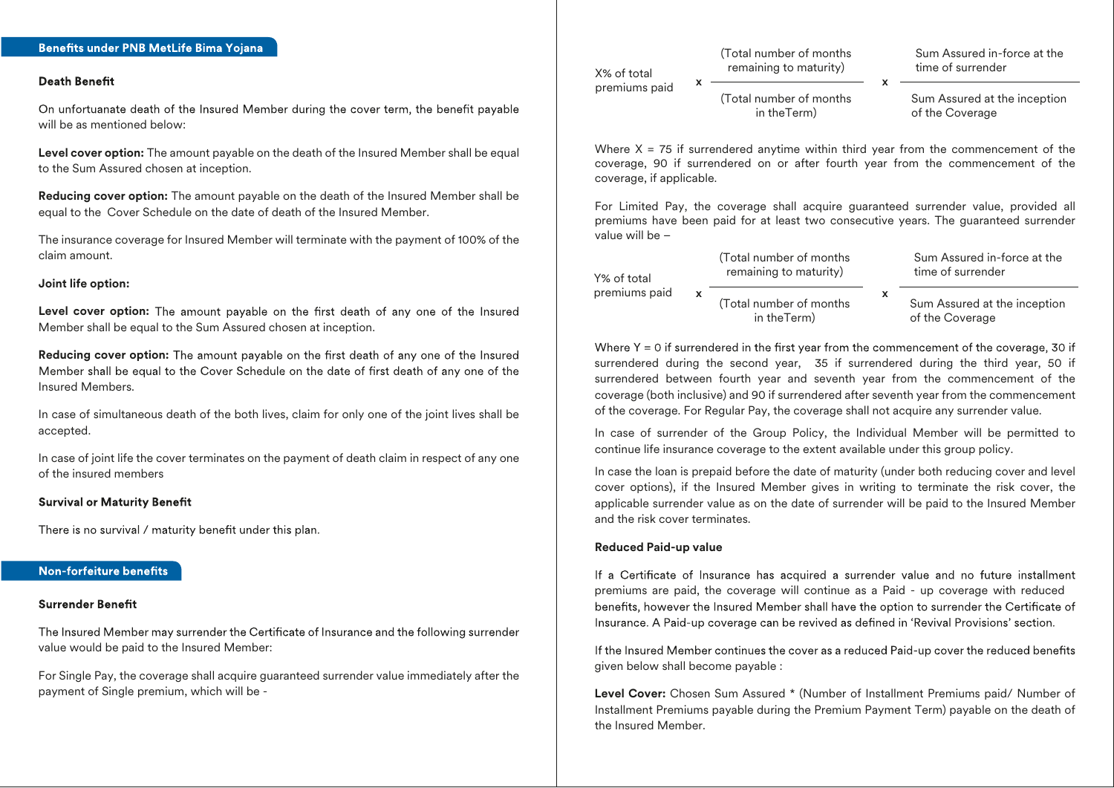#### **Death Benefit**

On unfortuanate death of the Insured Member during the cover term, the benefit payable will be as mentioned below:

**Level cover option:** The amount payable on the death of the Insured Member shall be equal to the Sum Assured chosen at inception.

**Reducing cover option:** The amount payable on the death of the Insured Member shall be equal to the Cover Schedule on the date of death of the Insured Member.

The insurance coverage for Insured Member will terminate with the payment of 100% of the claim amount.

#### **Joint life option:**

Level cover option: The amount payable on the first death of any one of the Insured Member shall be equal to the Sum Assured chosen at inception.

**Reducing cover option:** The amount payable on the first death of any one of the Insured Member shall be equal to the Cover Schedule on the date of first death of any one of the Insured Members.

In case of simultaneous death of the both lives, claim for only one of the joint lives shall be accepted.

In case of joint life the cover terminates on the payment of death claim in respect of any one of the insured members

#### **Survival or Maturity Benefit**

There is no survival / maturity benefit under this plan.

#### Non-forfeiture benefits

#### Surrender Benefit

The Insured Member may surrender the Certificate of Insurance and the following surrender value would be paid to the Insured Member:

For Single Pay, the coverage shall acquire guaranteed surrender value immediately after the payment of Single premium, which will be -

(Total number of months X% of total remaining to maturity)

Sum Assured in-force at the time of surrender

(Total number of months in theTerm)  $x \longrightarrow x$ 

Sum Assured at the inception of the Coverage

Where  $X = 75$  if surrendered anytime within third year from the commencement of the coverage, 90 if surrendered on or after fourth year from the commencement of the coverage, if applicable.

For Limited Pay, the coverage shall acquire guaranteed surrender value, provided all premiums have been paid for at least two consecutive years. The guaranteed surrender value will be –

(Total number of months remaining to maturity) Y% of total premiums paid Sum Assured in-force at the time of surrender Sum Assured at the inception of the Coverage (Total number of months x xin theTerm)

Where  $Y = 0$  if surrendered in the first year from the commencement of the coverage, 30 if surrendered during the second year, 35 if surrendered during the third year, 50 if surrendered between fourth year and seventh year from the commencement of the coverage (both inclusive) and 90 if surrendered after seventh year from the commencement of the coverage. For Regular Pay, the coverage shall not acquire any surrender value.

In case of surrender of the Group Policy, the Individual Member will be permitted to continue life insurance coverage to the extent available under this group policy.

In case the loan is prepaid before the date of maturity (under both reducing cover and level cover options), if the Insured Member gives in writing to terminate the risk cover, the applicable surrender value as on the date of surrender will be paid to the Insured Member and the risk cover terminates.

#### **Reduced Paid-up value**

premiums paid

If a Certificate of Insurance has acquired a surrender value and no future installment premiums are paid, the coverage will continue as a Paid - up coverage with reduced benefits, however the Insured Member shall have the option to surrender the Certificate of Insurance. A Paid-up coverage can be revived as defined in 'Revival Provisions' section.

If the Insured Member continues the cover as a reduced Paid-up cover the reduced benefits given below shall become payable :

**Level Cover:** Chosen Sum Assured \* (Number of Installment Premiums paid/ Number of Installment Premiums payable during the Premium Payment Term) payable on the death of the Insured Member.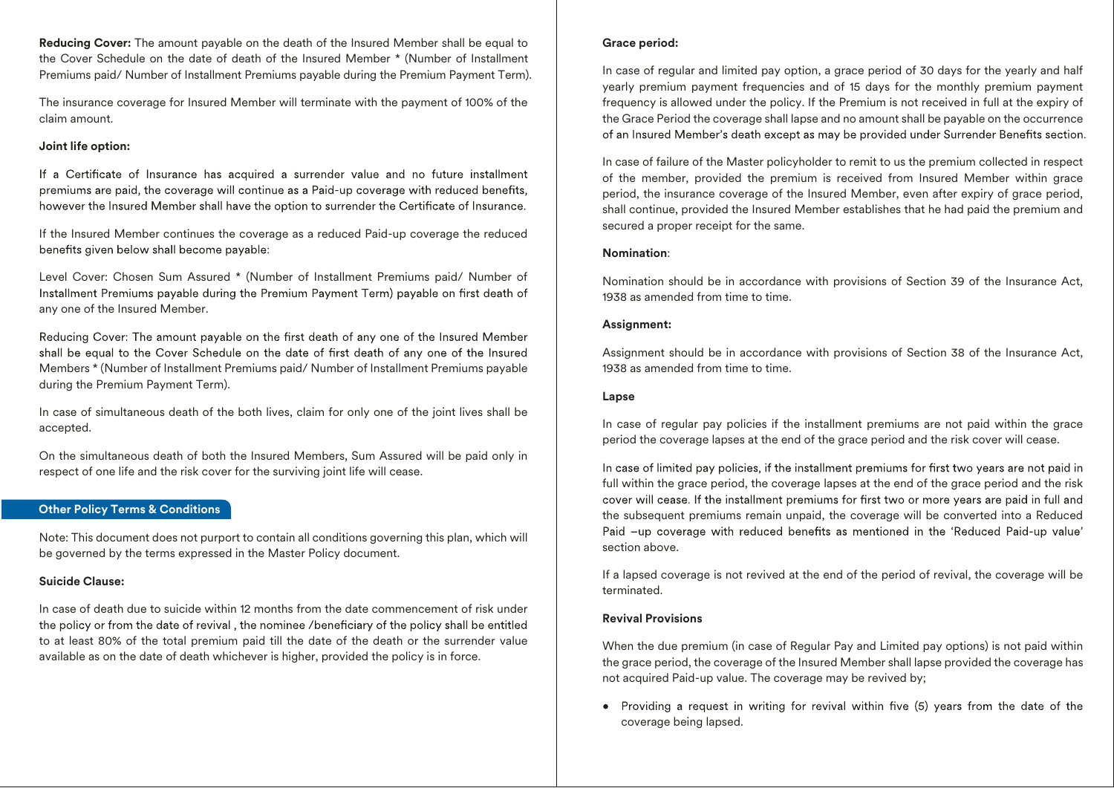**Reducing Cover:** The amount payable on the death of the Insured Member shall be equal to the Cover Schedule on the date of death of the Insured Member \* (Number of Installment Premiums paid/ Number of Installment Premiums payable during the Premium Payment Term).

The insurance coverage for Insured Member will terminate with the payment of 100% of the claim amount.

#### **Joint life option:**

If a Certificate of Insurance has acquired a surrender value and no future installment premiums are paid, the coverage will continue as a Paid-up coverage with reduced benefits, however the Insured Member shall have the option to surrender the Certificate of Insurance.

If the Insured Member continues the coverage as a reduced Paid-up coverage the reduced benefits given below shall become payable:

Level Cover: Chosen Sum Assured \* (Number of Installment Premiums paid/ Number of Installment Premiums payable during the Premium Payment Term) payable on first death of any one of the Insured Member.

Reducing Cover: The amount payable on the first death of any one of the Insured Member shall be equal to the Cover Schedule on the date of first death of any one of the Insured Members \* (Number of Installment Premiums paid/ Number of Installment Premiums payable during the Premium Payment Term).

In case of simultaneous death of the both lives, claim for only one of the joint lives shall be accepted.

On the simultaneous death of both the Insured Members, Sum Assured will be paid only in respect of one life and the risk cover for the surviving joint life will cease.

#### **Other Policy Terms & Conditions**

Note: This document does not purport to contain all conditions governing this plan, which will be governed by the terms expressed in the Master Policy document.

#### **Suicide Clause:**

In case of death due to suicide within 12 months from the date commencement of risk under the policy or from the date of revival, the nominee /beneficiary of the policy shall be entitled to at least 80% of the total premium paid till the date of the death or the surrender value available as on the date of death whichever is higher, provided the policy is in force.

#### **Grace period:**

In case of regular and limited pay option, a grace period of 30 days for the yearly and half yearly premium payment frequencies and of 15 days for the monthly premium payment frequency is allowed under the policy. If the Premium is not received in full at the expiry of the Grace Period the coverage shall lapse and no amount shall be payable on the occurrence of an Insured Member's death except as may be provided under Surrender Benefits section.

In case of failure of the Master policyholder to remit to us the premium collected in respect of the member, provided the premium is received from Insured Member within grace period, the insurance coverage of the Insured Member, even after expiry of grace period, shall continue, provided the Insured Member establishes that he had paid the premium and secured a proper receipt for the same.

#### **Nomination**:

Nomination should be in accordance with provisions of Section 39 of the Insurance Act, 1938 as amended from time to time.

#### **Assignment:**

Assignment should be in accordance with provisions of Section 38 of the Insurance Act, 1938 as amended from time to time.

# **Lapse**

In case of regular pay policies if the installment premiums are not paid within the grace period the coverage lapses at the end of the grace period and the risk cover will cease.

In case of limited pay policies, if the installment premiums for first two years are not paid in full within the grace period, the coverage lapses at the end of the grace period and the risk cover will cease. If the installment premiums for first two or more years are paid in full and the subsequent premiums remain unpaid, the coverage will be converted into a Reduced Paid -up coverage with reduced benefits as mentioned in the 'Reduced Paid-up value' section above.

If a lapsed coverage is not revived at the end of the period of revival, the coverage will be terminated.

#### **Revival Provisions**

When the due premium (in case of Regular Pay and Limited pay options) is not paid within the grace period, the coverage of the Insured Member shall lapse provided the coverage has not acquired Paid-up value. The coverage may be revived by;

• Providing a request in writing for revival within five (5) years from the date of the coverage being lapsed.